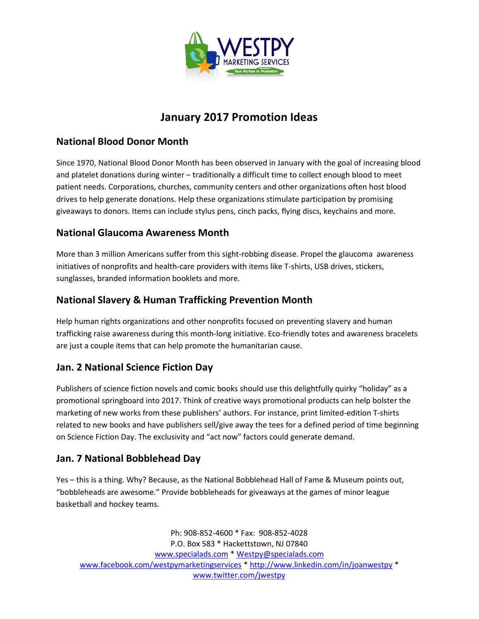

# January 2017 Promotion Ideas

## National Blood Donor Month

Since 1970, National Blood Donor Month has been observed in January with the goal of increasing blood and platelet donations during winter – traditionally a difficult time to collect enough blood to meet patient needs. Corporations, churches, community centers and other organizations often host blood drives to help generate donations. Help these organizations stimulate participation by promising giveaways to donors. Items can include stylus pens, cinch packs, flying discs, keychains and more.

#### National Glaucoma Awareness Month

More than 3 million Americans suffer from this sight-robbing disease. Propel the glaucoma awareness initiatives of nonprofits and health-care providers with items like T-shirts, USB drives, stickers, sunglasses, branded information booklets and more.

## National Slavery & Human Trafficking Prevention Month

Help human rights organizations and other nonprofits focused on preventing slavery and human trafficking raise awareness during this month-long initiative. Eco-friendly totes and awareness bracelets are just a couple items that can help promote the humanitarian cause.

## Jan. 2 National Science Fiction Day

Publishers of science fiction novels and comic books should use this delightfully quirky "holiday" as a promotional springboard into 2017. Think of creative ways promotional products can help bolster the marketing of new works from these publishers' authors. For instance, print limited-edition T-shirts related to new books and have publishers sell/give away the tees for a defined period of time beginning on Science Fiction Day. The exclusivity and "act now" factors could generate demand.

## Jan. 7 National Bobblehead Day

Yes – this is a thing. Why? Because, as the National Bobblehead Hall of Fame & Museum points out, "bobbleheads are awesome." Provide bobbleheads for giveaways at the games of minor league basketball and hockey teams.

Ph: 908-852-4600 \* Fax: 908-852-4028 P.O. Box 583 \* Hackettstown, NJ 07840 www.specialads.com \* Westpy@specialads.com www.facebook.com/westpymarketingservices \* http://www.linkedin.com/in/joanwestpy \* www.twitter.com/jwestpy